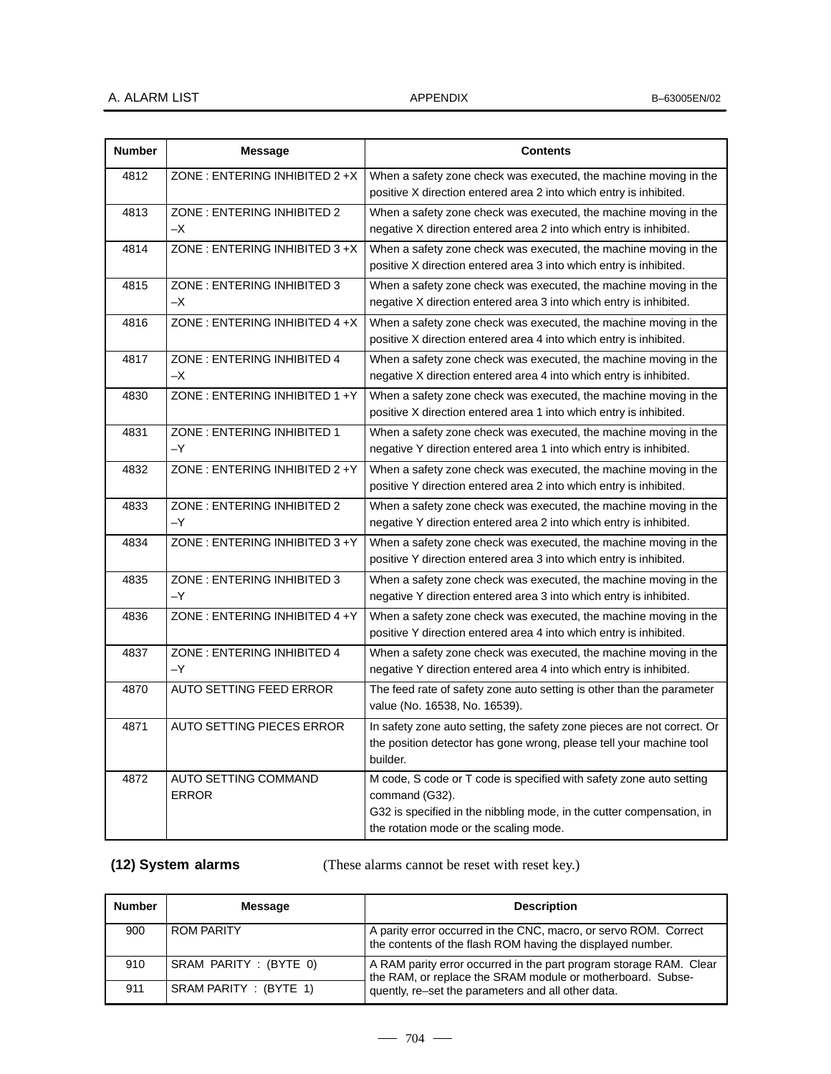| <b>Number</b> | <b>Message</b>                       | <b>Contents</b>                                                                                                                                                                                          |
|---------------|--------------------------------------|----------------------------------------------------------------------------------------------------------------------------------------------------------------------------------------------------------|
| 4812          | ZONE: ENTERING INHIBITED 2 +X        | When a safety zone check was executed, the machine moving in the<br>positive X direction entered area 2 into which entry is inhibited.                                                                   |
| 4813          | ZONE: ENTERING INHIBITED 2<br>$-X$   | When a safety zone check was executed, the machine moving in the<br>negative X direction entered area 2 into which entry is inhibited.                                                                   |
| 4814          | ZONE: ENTERING INHIBITED 3 +X        | When a safety zone check was executed, the machine moving in the<br>positive X direction entered area 3 into which entry is inhibited.                                                                   |
| 4815          | ZONE: ENTERING INHIBITED 3<br>$-X$   | When a safety zone check was executed, the machine moving in the<br>negative X direction entered area 3 into which entry is inhibited.                                                                   |
| 4816          | ZONE: ENTERING INHIBITED $4 + X$     | When a safety zone check was executed, the machine moving in the<br>positive X direction entered area 4 into which entry is inhibited.                                                                   |
| 4817          | ZONE: ENTERING INHIBITED 4<br>$-X$   | When a safety zone check was executed, the machine moving in the<br>negative X direction entered area 4 into which entry is inhibited.                                                                   |
| 4830          | ZONE: ENTERING INHIBITED 1 +Y        | When a safety zone check was executed, the machine moving in the<br>positive X direction entered area 1 into which entry is inhibited.                                                                   |
| 4831          | ZONE: ENTERING INHIBITED 1<br>$-Y$   | When a safety zone check was executed, the machine moving in the<br>negative Y direction entered area 1 into which entry is inhibited.                                                                   |
| 4832          | ZONE: ENTERING INHIBITED 2 + Y       | When a safety zone check was executed, the machine moving in the<br>positive Y direction entered area 2 into which entry is inhibited.                                                                   |
| 4833          | ZONE: ENTERING INHIBITED 2<br>$-Y$   | When a safety zone check was executed, the machine moving in the<br>negative Y direction entered area 2 into which entry is inhibited.                                                                   |
| 4834          | ZONE: ENTERING INHIBITED 3+Y         | When a safety zone check was executed, the machine moving in the<br>positive Y direction entered area 3 into which entry is inhibited.                                                                   |
| 4835          | ZONE: ENTERING INHIBITED 3<br>$-Y$   | When a safety zone check was executed, the machine moving in the<br>negative Y direction entered area 3 into which entry is inhibited.                                                                   |
| 4836          | ZONE: ENTERING INHIBITED 4 +Y        | When a safety zone check was executed, the machine moving in the<br>positive Y direction entered area 4 into which entry is inhibited.                                                                   |
| 4837          | ZONE: ENTERING INHIBITED 4<br>$-Y$   | When a safety zone check was executed, the machine moving in the<br>negative Y direction entered area 4 into which entry is inhibited.                                                                   |
| 4870          | AUTO SETTING FEED ERROR              | The feed rate of safety zone auto setting is other than the parameter<br>value (No. 16538, No. 16539).                                                                                                   |
| 4871          | <b>AUTO SETTING PIECES ERROR</b>     | In safety zone auto setting, the safety zone pieces are not correct. Or<br>the position detector has gone wrong, please tell your machine tool<br>builder.                                               |
| 4872          | AUTO SETTING COMMAND<br><b>ERROR</b> | M code, S code or T code is specified with safety zone auto setting<br>command (G32).<br>G32 is specified in the nibbling mode, in the cutter compensation, in<br>the rotation mode or the scaling mode. |

**(12) System alarms**

(These alarms cannot be reset with reset key.)

| <b>Number</b> | Message                | <b>Description</b>                                                                                                                                                                     |
|---------------|------------------------|----------------------------------------------------------------------------------------------------------------------------------------------------------------------------------------|
| 900           | <b>ROM PARITY</b>      | A parity error occurred in the CNC, macro, or servo ROM. Correct<br>the contents of the flash ROM having the displayed number.                                                         |
| 910           | SRAM PARITY : (BYTE 0) | A RAM parity error occurred in the part program storage RAM. Clear<br>the RAM, or replace the SRAM module or motherboard. Subse-<br>quently, re-set the parameters and all other data. |
| 911           | SRAM PARITY : (BYTE 1) |                                                                                                                                                                                        |